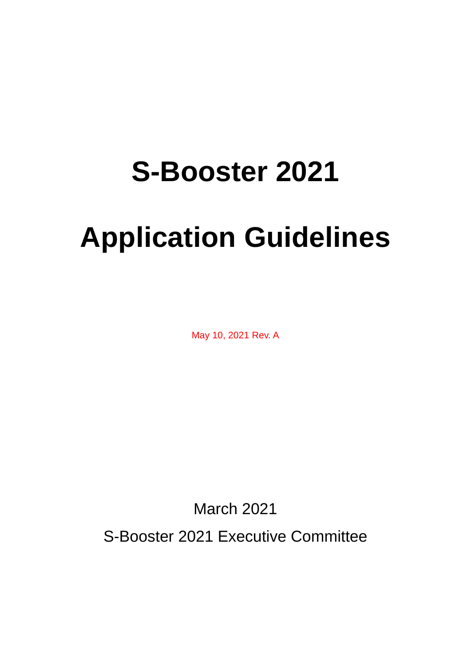# **S-Booster 2021**

# **Application Guidelines**

May 10, 2021 Rev. A

March 2021

S-Booster 2021 Executive Committee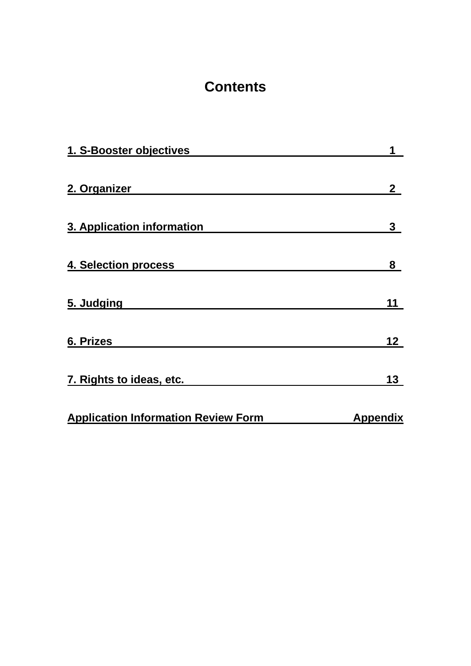# **Contents**

| 1. S-Booster objectives                    | 1               |
|--------------------------------------------|-----------------|
| 2. Organizer                               | $\mathbf{2}$    |
| 3. Application information                 | 3               |
| 4. Selection process                       | 8               |
| 5. Judging                                 | 11              |
| 6. Prizes                                  | 12 <sub>2</sub> |
| 7. Rights to ideas, etc.                   | 13              |
| <b>Application Information Review Form</b> | <b>Appendix</b> |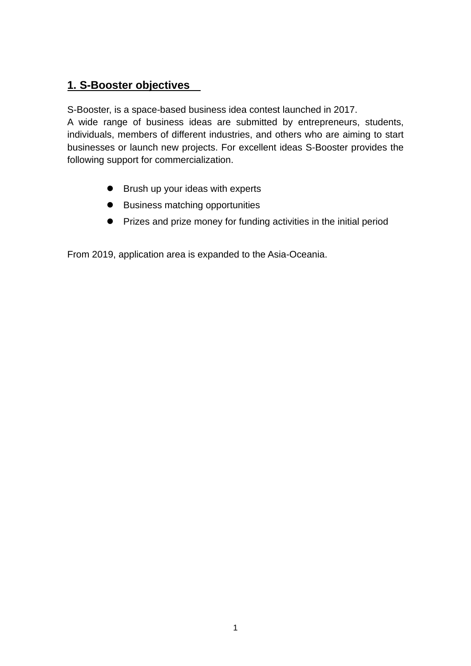## **1. S-Booster objectives**

S-Booster, is a space-based business idea contest launched in 2017.

A wide range of business ideas are submitted by entrepreneurs, students, individuals, members of different industries, and others who are aiming to start businesses or launch new projects. For excellent ideas S-Booster provides the following support for commercialization.

- Brush up your ideas with experts
- **•** Business matching opportunities
- **•** Prizes and prize money for funding activities in the initial period

From 2019, application area is expanded to the Asia-Oceania.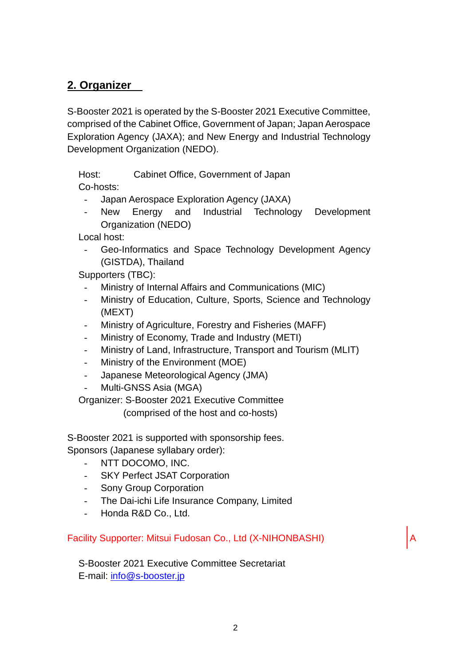## **2. Organizer**

S-Booster 2021 is operated by the S-Booster 2021 Executive Committee, comprised of the Cabinet Office, Government of Japan; Japan Aerospace Exploration Agency (JAXA); and New Energy and Industrial Technology Development Organization (NEDO).

Host: Cabinet Office, Government of Japan

Co-hosts:

- Japan Aerospace Exploration Agency (JAXA)
- New Energy and Industrial Technology Development Organization (NEDO)

Local host:

Geo-Informatics and Space Technology Development Agency (GISTDA), Thailand

Supporters (TBC):

- Ministry of Internal Affairs and Communications (MIC)
- Ministry of Education, Culture, Sports, Science and Technology (MEXT)
- Ministry of Agriculture, Forestry and Fisheries (MAFF)
- Ministry of Economy, Trade and Industry (METI)
- Ministry of Land, Infrastructure, Transport and Tourism (MLIT)
- Ministry of the Environment (MOE)
- Japanese Meteorological Agency (JMA)
- Multi-GNSS Asia (MGA)

Organizer: S-Booster 2021 Executive Committee

(comprised of the host and co-hosts)

S-Booster 2021 is supported with sponsorship fees. Sponsors (Japanese syllabary order):

- NTT DOCOMO, INC.
- SKY Perfect JSAT Corporation
- Sony Group Corporation
- The Dai-ichi Life Insurance Company, Limited
- Honda R&D Co., Ltd.

Facility Supporter: Mitsui Fudosan Co., Ltd (X-NIHONBASHI)

S-Booster 2021 Executive Committee Secretariat E-mail: [info@s-booster.jp](mailto:info@s-booster.jp)

A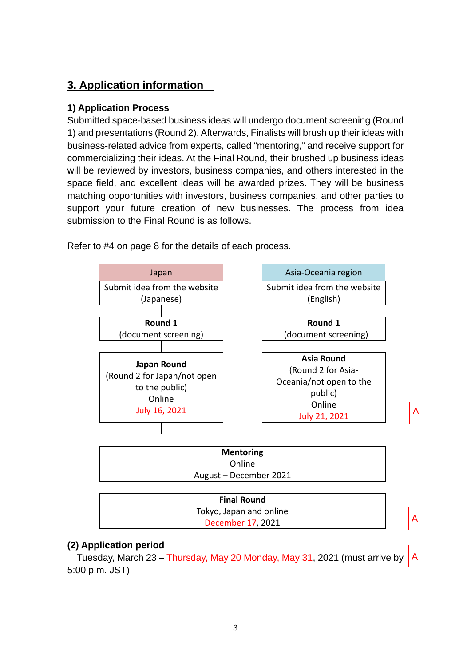## **3. Application information**

#### **1) Application Process**

Submitted space-based business ideas will undergo document screening (Round 1) and presentations (Round 2). Afterwards, Finalists will brush up their ideas with business-related advice from experts, called "mentoring," and receive support for commercializing their ideas. At the Final Round, their brushed up business ideas will be reviewed by investors, business companies, and others interested in the space field, and excellent ideas will be awarded prizes. They will be business matching opportunities with investors, business companies, and other parties to support your future creation of new businesses. The process from idea submission to the Final Round is as follows.



Refer to #4 on page 8 for the details of each process.

#### **(2) Application period**

Tuesday, March 23 – <del>Thursday, May 20 </del>Monday, May 31, 2021 (must arrive by <code>|A</code> 5:00 p.m. JST)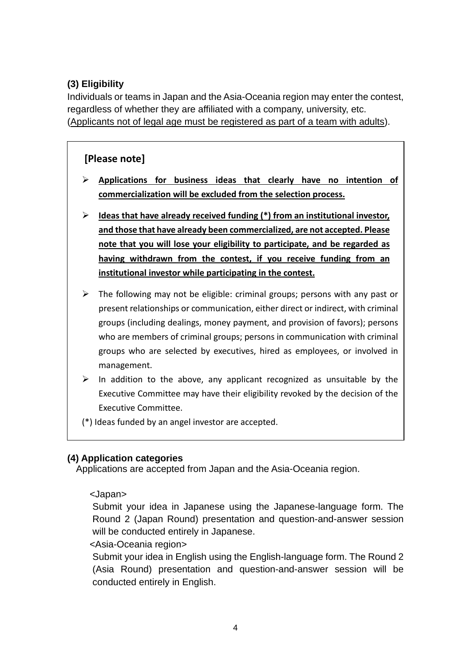#### **(3) Eligibility**

Individuals or teams in Japan and the Asia-Oceania region may enter the contest, regardless of whether they are affiliated with a company, university, etc. (Applicants not of legal age must be registered as part of a team with adults).

#### **[Please note]**

- **Applications for business ideas that clearly have no intention of commercialization will be excluded from the selection process.**
- **Ideas that have already received funding (\*) from an institutional investor, and those that have already been commercialized, are not accepted. Please note that you will lose your eligibility to participate, and be regarded as having withdrawn from the contest, if you receive funding from an institutional investor while participating in the contest.**
- $\triangleright$  The following may not be eligible: criminal groups; persons with any past or present relationships or communication, either direct or indirect, with criminal groups (including dealings, money payment, and provision of favors); persons who are members of criminal groups; persons in communication with criminal groups who are selected by executives, hired as employees, or involved in management.
- $\triangleright$  In addition to the above, any applicant recognized as unsuitable by the Executive Committee may have their eligibility revoked by the decision of the Executive Committee.
- (\*) Ideas funded by an angel investor are accepted.

#### **(4) Application categories**

Applications are accepted from Japan and the Asia-Oceania region.

#### <Japan>

Submit your idea in Japanese using the Japanese-language form. The Round 2 (Japan Round) presentation and question-and-answer session will be conducted entirely in Japanese.

<Asia-Oceania region>

Submit your idea in English using the English-language form. The Round 2 (Asia Round) presentation and question-and-answer session will be conducted entirely in English.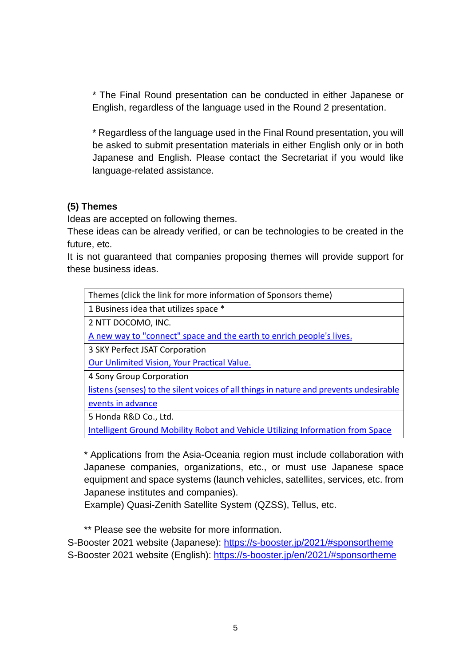\* The Final Round presentation can be conducted in either Japanese or English, regardless of the language used in the Round 2 presentation.

\* Regardless of the language used in the Final Round presentation, you will be asked to submit presentation materials in either English only or in both Japanese and English. Please contact the Secretariat if you would like language-related assistance.

#### **(5) Themes**

Ideas are accepted on following themes.

These ideas can be already verified, or can be technologies to be created in the future, etc.

It is not guaranteed that companies proposing themes will provide support for these business ideas.

Themes (click the link for more information of Sponsors theme)

1 Business idea that utilizes space \*

2 NTT DOCOMO, INC.

[A new way to "connect" space and the earth to enrich people's lives.](https://s-booster.jp/en/2021/#modalSponsor-DOCOMO)

3 SKY Perfect JSAT Corporation

Our Unlimited [Vision, Your Practical Value.](https://s-booster.jp/en/2021/#modalSponsor-SPTVJSAT)

4 Sony Group Corporation

[listens \(senses\) to the silent voices of all things in nature and prevents undesirable](https://s-booster.jp/en/2021/#modalSponsor-SONY)  [events in advance](https://s-booster.jp/en/2021/#modalSponsor-SONY)

5 Honda R&D Co., Ltd.

[Intelligent Ground Mobility Robot and Vehicle Utilizing Information from Space](https://s-booster.jp/en/2021/#modalSponsor-HONDA)

\* Applications from the Asia-Oceania region must include collaboration with Japanese companies, organizations, etc., or must use Japanese space equipment and space systems (launch vehicles, satellites, services, etc. from Japanese institutes and companies).

Example) Quasi-Zenith Satellite System (QZSS), Tellus, etc.

\*\* Please see the website for more information.

S-Booster 2021 website (Japanese):<https://s-booster.jp/2021/#sponsortheme> S-Booster 2021 website (English):<https://s-booster.jp/en/2021/#sponsortheme>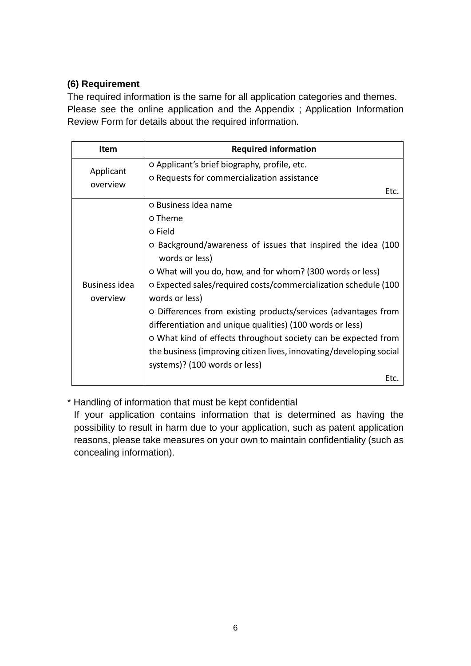#### **(6) Requirement**

The required information is the same for all application categories and themes. Please see the online application and the Appendix ; Application Information Review Form for details about the required information.

| Item                             | <b>Required information</b>                                                                                                 |
|----------------------------------|-----------------------------------------------------------------------------------------------------------------------------|
| Applicant                        | O Applicant's brief biography, profile, etc.                                                                                |
| overview                         | O Requests for commercialization assistance                                                                                 |
|                                  | Etc.                                                                                                                        |
|                                  | o Business idea name                                                                                                        |
|                                  | o Theme                                                                                                                     |
|                                  | o Field                                                                                                                     |
|                                  | O Background/awareness of issues that inspired the idea (100<br>words or less)                                              |
|                                  | o What will you do, how, and for whom? (300 words or less)                                                                  |
| <b>Business idea</b><br>overview | O Expected sales/required costs/commercialization schedule (100<br>words or less)                                           |
|                                  | O Differences from existing products/services (advantages from<br>differentiation and unique qualities) (100 words or less) |
|                                  | o What kind of effects throughout society can be expected from                                                              |
|                                  | the business (improving citizen lives, innovating/developing social<br>systems)? (100 words or less)                        |
|                                  | Etc.                                                                                                                        |

\* Handling of information that must be kept confidential

If your application contains information that is determined as having the possibility to result in harm due to your application, such as patent application reasons, please take measures on your own to maintain confidentiality (such as concealing information).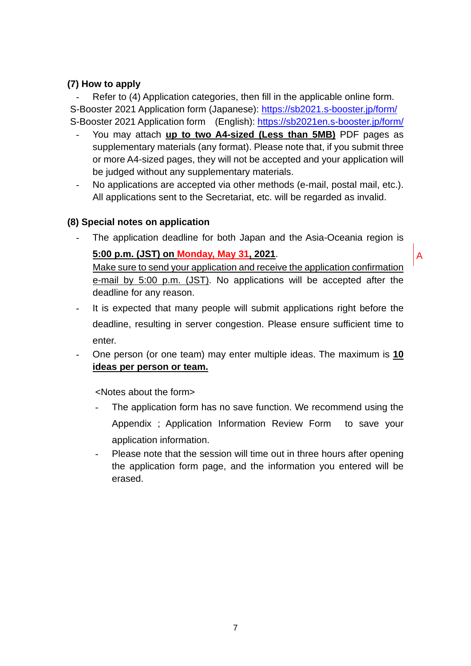#### **(7) How to apply**

Refer to (4) Application categories, then fill in the applicable online form. S-Booster 2021 Application form (Japanese):<https://sb2021.s-booster.jp/form/> S-Booster 2021 Application form (English):<https://sb2021en.s-booster.jp/form/>

- You may attach **up to two A4-sized (Less than 5MB)** PDF pages as supplementary materials (any format). Please note that, if you submit three or more A4-sized pages, they will not be accepted and your application will be judged without any supplementary materials.
- No applications are accepted via other methods (e-mail, postal mail, etc.). All applications sent to the Secretariat, etc. will be regarded as invalid.

#### **(8) Special notes on application**

The application deadline for both Japan and the Asia-Oceania region is

#### **5:00 p.m. (JST) on Monday, May 31, 2021**.

A

Make sure to send your application and receive the application confirmation e-mail by 5:00 p.m. (JST). No applications will be accepted after the deadline for any reason.

- It is expected that many people will submit applications right before the deadline, resulting in server congestion. Please ensure sufficient time to enter.
- One person (or one team) may enter multiple ideas. The maximum is **10 ideas per person or team.**

<Notes about the form>

- The application form has no save function. We recommend using the Appendix ; Application Information Review Form to save your application information.
- Please note that the session will time out in three hours after opening the application form page, and the information you entered will be erased.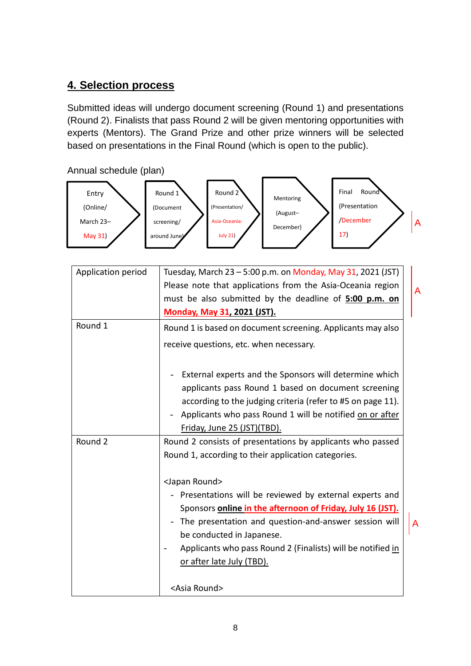### **4. Selection process**

Submitted ideas will undergo document screening (Round 1) and presentations (Round 2). Finalists that pass Round 2 will be given mentoring opportunities with experts (Mentors). The Grand Prize and other prize winners will be selected based on presentations in the Final Round (which is open to the public).

Annual schedule (plan)



| Application period | Tuesday, March 23 - 5:00 p.m. on Monday, May 31, 2021 (JST)                                                                                                                                                                                                                                                                                       |  |  |  |
|--------------------|---------------------------------------------------------------------------------------------------------------------------------------------------------------------------------------------------------------------------------------------------------------------------------------------------------------------------------------------------|--|--|--|
|                    | Please note that applications from the Asia-Oceania region                                                                                                                                                                                                                                                                                        |  |  |  |
|                    | must be also submitted by the deadline of 5:00 p.m. on                                                                                                                                                                                                                                                                                            |  |  |  |
|                    | <b>Monday, May 31, 2021 (JST).</b>                                                                                                                                                                                                                                                                                                                |  |  |  |
| Round 1            | Round 1 is based on document screening. Applicants may also                                                                                                                                                                                                                                                                                       |  |  |  |
|                    | receive questions, etc. when necessary.                                                                                                                                                                                                                                                                                                           |  |  |  |
|                    | External experts and the Sponsors will determine which<br>applicants pass Round 1 based on document screening<br>according to the judging criteria (refer to #5 on page 11).<br>Applicants who pass Round 1 will be notified on or after<br>$\overline{\phantom{a}}$<br>Friday, June 25 (JST)(TBD).                                               |  |  |  |
| Round 2            | Round 2 consists of presentations by applicants who passed<br>Round 1, according to their application categories.                                                                                                                                                                                                                                 |  |  |  |
|                    | <japan round=""><br/>- Presentations will be reviewed by external experts and<br/>Sponsors <b>online in the afternoon of Friday, July 16 (JST).</b><br/>The presentation and question-and-answer session will<br/>be conducted in Japanese.<br/>Applicants who pass Round 2 (Finalists) will be notified in<br/>or after late July (TBD).</japan> |  |  |  |
|                    | <asia round=""></asia>                                                                                                                                                                                                                                                                                                                            |  |  |  |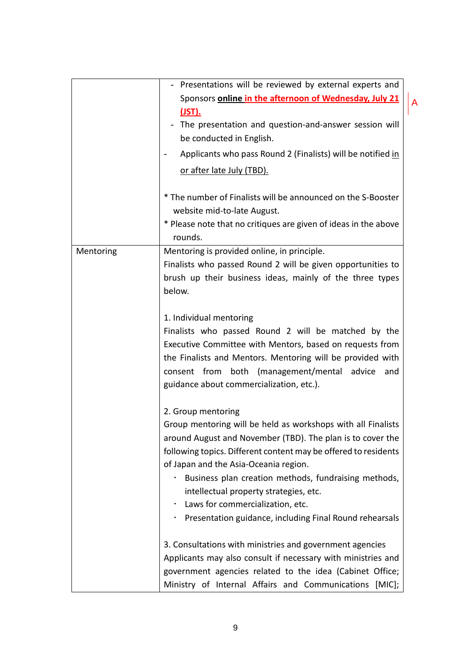|           | - Presentations will be reviewed by external experts and                                                                                                                                                                 |  |  |  |
|-----------|--------------------------------------------------------------------------------------------------------------------------------------------------------------------------------------------------------------------------|--|--|--|
|           | Sponsors online in the afternoon of Wednesday, July 21                                                                                                                                                                   |  |  |  |
|           | (JST).                                                                                                                                                                                                                   |  |  |  |
|           | The presentation and question-and-answer session will                                                                                                                                                                    |  |  |  |
|           | be conducted in English.                                                                                                                                                                                                 |  |  |  |
|           | Applicants who pass Round 2 (Finalists) will be notified in                                                                                                                                                              |  |  |  |
|           | or after late July (TBD).                                                                                                                                                                                                |  |  |  |
|           | * The number of Finalists will be announced on the S-Booster<br>website mid-to-late August.                                                                                                                              |  |  |  |
|           | * Please note that no critiques are given of ideas in the above<br>rounds.                                                                                                                                               |  |  |  |
| Mentoring | Mentoring is provided online, in principle.                                                                                                                                                                              |  |  |  |
|           | Finalists who passed Round 2 will be given opportunities to                                                                                                                                                              |  |  |  |
|           | brush up their business ideas, mainly of the three types                                                                                                                                                                 |  |  |  |
|           | below.                                                                                                                                                                                                                   |  |  |  |
|           | 1. Individual mentoring                                                                                                                                                                                                  |  |  |  |
|           | Finalists who passed Round 2 will be matched by the                                                                                                                                                                      |  |  |  |
|           | Executive Committee with Mentors, based on requests from<br>the Finalists and Mentors. Mentoring will be provided with<br>consent from both (management/mental advice<br>and<br>guidance about commercialization, etc.). |  |  |  |
|           | 2. Group mentoring                                                                                                                                                                                                       |  |  |  |
|           | Group mentoring will be held as workshops with all Finalists                                                                                                                                                             |  |  |  |
|           | around August and November (TBD). The plan is to cover the                                                                                                                                                               |  |  |  |
|           | following topics. Different content may be offered to residents                                                                                                                                                          |  |  |  |
|           | of Japan and the Asia-Oceania region.                                                                                                                                                                                    |  |  |  |
|           | Business plan creation methods, fundraising methods,                                                                                                                                                                     |  |  |  |
|           | intellectual property strategies, etc.                                                                                                                                                                                   |  |  |  |
|           | Laws for commercialization, etc.                                                                                                                                                                                         |  |  |  |
|           | Presentation guidance, including Final Round rehearsals                                                                                                                                                                  |  |  |  |
|           | 3. Consultations with ministries and government agencies                                                                                                                                                                 |  |  |  |
|           | Applicants may also consult if necessary with ministries and                                                                                                                                                             |  |  |  |
|           | government agencies related to the idea (Cabinet Office;                                                                                                                                                                 |  |  |  |
|           | Ministry of Internal Affairs and Communications [MIC];                                                                                                                                                                   |  |  |  |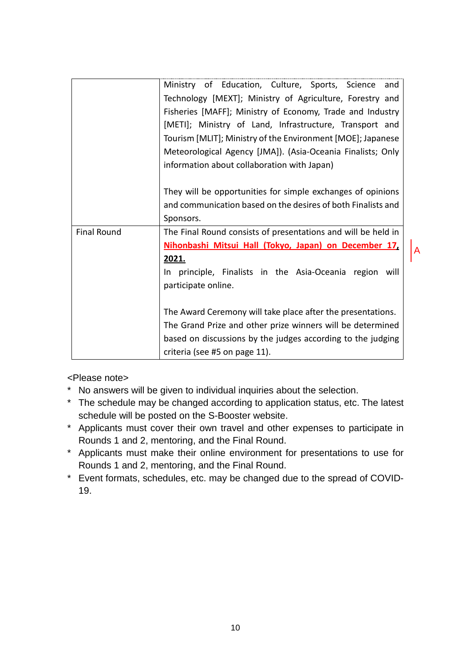|                    | Ministry of Education, Culture, Sports, Science and           |   |  |  |  |
|--------------------|---------------------------------------------------------------|---|--|--|--|
|                    | Technology [MEXT]; Ministry of Agriculture, Forestry and      |   |  |  |  |
|                    | Fisheries [MAFF]; Ministry of Economy, Trade and Industry     |   |  |  |  |
|                    | [METI]; Ministry of Land, Infrastructure, Transport and       |   |  |  |  |
|                    | Tourism [MLIT]; Ministry of the Environment [MOE]; Japanese   |   |  |  |  |
|                    | Meteorological Agency [JMA]). (Asia-Oceania Finalists; Only   |   |  |  |  |
|                    | information about collaboration with Japan)                   |   |  |  |  |
|                    |                                                               |   |  |  |  |
|                    | They will be opportunities for simple exchanges of opinions   |   |  |  |  |
|                    | and communication based on the desires of both Finalists and  |   |  |  |  |
|                    | Sponsors.                                                     |   |  |  |  |
| <b>Final Round</b> | The Final Round consists of presentations and will be held in |   |  |  |  |
|                    | Nihonbashi Mitsui Hall (Tokyo, Japan) on December 17,         | A |  |  |  |
|                    | 2021.                                                         |   |  |  |  |
|                    | In principle, Finalists in the Asia-Oceania region will       |   |  |  |  |
|                    | participate online.                                           |   |  |  |  |
|                    |                                                               |   |  |  |  |
|                    | The Award Ceremony will take place after the presentations.   |   |  |  |  |
|                    | The Grand Prize and other prize winners will be determined    |   |  |  |  |
|                    | based on discussions by the judges according to the judging   |   |  |  |  |
|                    | criteria (see #5 on page 11).                                 |   |  |  |  |

<Please note>

- \* No answers will be given to individual inquiries about the selection.
- \* The schedule may be changed according to application status, etc. The latest schedule will be posted on the S-Booster website.
- \* Applicants must cover their own travel and other expenses to participate in Rounds 1 and 2, mentoring, and the Final Round.
- \* Applicants must make their online environment for presentations to use for Rounds 1 and 2, mentoring, and the Final Round.
- \* Event formats, schedules, etc. may be changed due to the spread of COVID-19.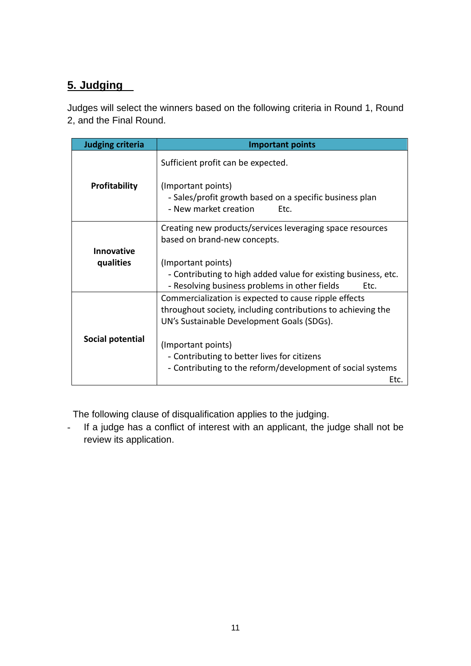# **5. Judging**

Judges will select the winners based on the following criteria in Round 1, Round 2, and the Final Round.

| <b>Judging criteria</b> | <b>Important points</b>                                                                                                                                             |
|-------------------------|---------------------------------------------------------------------------------------------------------------------------------------------------------------------|
| <b>Profitability</b>    | Sufficient profit can be expected.                                                                                                                                  |
|                         | (Important points)<br>- Sales/profit growth based on a specific business plan<br>- New market creation<br>Etc.                                                      |
|                         | Creating new products/services leveraging space resources<br>based on brand-new concepts.                                                                           |
| <b>Innovative</b>       |                                                                                                                                                                     |
| qualities               | (Important points)<br>- Contributing to high added value for existing business, etc.<br>- Resolving business problems in other fields<br>Etc.                       |
|                         | Commercialization is expected to cause ripple effects<br>throughout society, including contributions to achieving the<br>UN's Sustainable Development Goals (SDGs). |
| Social potential        | (Important points)<br>- Contributing to better lives for citizens                                                                                                   |
|                         | - Contributing to the reform/development of social systems<br>Etc.                                                                                                  |

The following clause of disqualification applies to the judging.

- If a judge has a conflict of interest with an applicant, the judge shall not be review its application.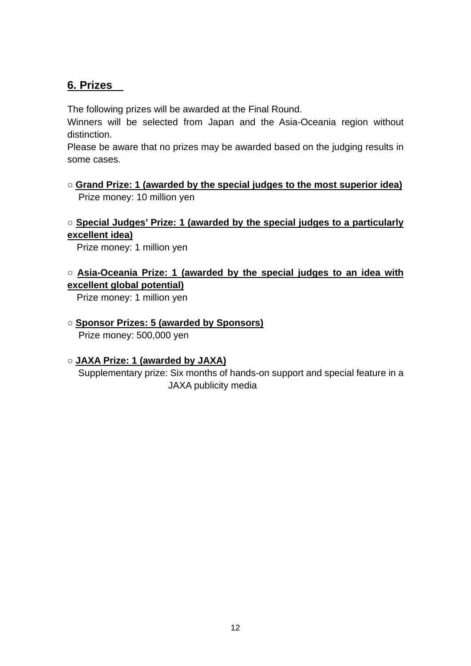## **6. Prizes**

The following prizes will be awarded at the Final Round.

Winners will be selected from Japan and the Asia-Oceania region without distinction.

Please be aware that no prizes may be awarded based on the judging results in some cases.

○ **Grand Prize: 1 (awarded by the special judges to the most superior idea)** Prize money: 10 million yen

#### ○ **Special Judges' Prize: 1 (awarded by the special judges to a particularly excellent idea)**

Prize money: 1 million yen

#### ○ **Asia-Oceania Prize: 1 (awarded by the special judges to an idea with excellent global potential)**

Prize money: 1 million yen

#### ○ **Sponsor Prizes: 5 (awarded by Sponsors)**

Prize money: 500,000 yen

#### ○ **JAXA Prize: 1 (awarded by JAXA)**

Supplementary prize: Six months of hands-on support and special feature in a JAXA publicity media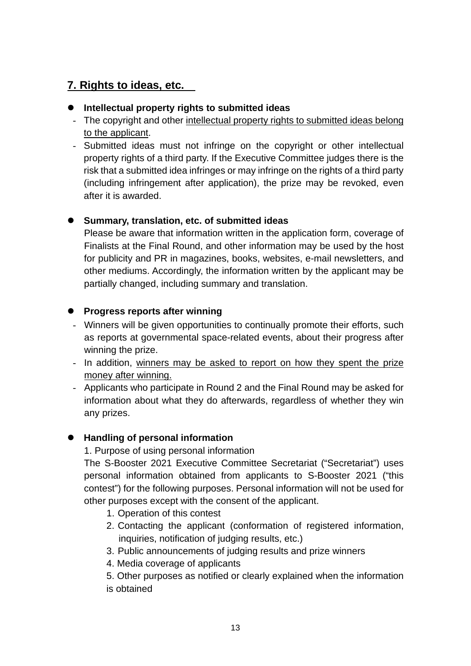# **7. Rights to ideas, etc.**

#### **Intellectual property rights to submitted ideas**

- The copyright and other intellectual property rights to submitted ideas belong to the applicant.
- Submitted ideas must not infringe on the copyright or other intellectual property rights of a third party. If the Executive Committee judges there is the risk that a submitted idea infringes or may infringe on the rights of a third party (including infringement after application), the prize may be revoked, even after it is awarded.

#### **Summary, translation, etc. of submitted ideas**

Please be aware that information written in the application form, coverage of Finalists at the Final Round, and other information may be used by the host for publicity and PR in magazines, books, websites, e-mail newsletters, and other mediums. Accordingly, the information written by the applicant may be partially changed, including summary and translation.

#### **Progress reports after winning**

- Winners will be given opportunities to continually promote their efforts, such as reports at governmental space-related events, about their progress after winning the prize.
- In addition, winners may be asked to report on how they spent the prize money after winning.
- Applicants who participate in Round 2 and the Final Round may be asked for information about what they do afterwards, regardless of whether they win any prizes.

#### **Handling of personal information**

1. Purpose of using personal information

The S-Booster 2021 Executive Committee Secretariat ("Secretariat") uses personal information obtained from applicants to S-Booster 2021 ("this contest") for the following purposes. Personal information will not be used for other purposes except with the consent of the applicant.

- 1. Operation of this contest
- 2. Contacting the applicant (conformation of registered information, inquiries, notification of judging results, etc.)
- 3. Public announcements of judging results and prize winners
- 4. Media coverage of applicants
- 5. Other purposes as notified or clearly explained when the information is obtained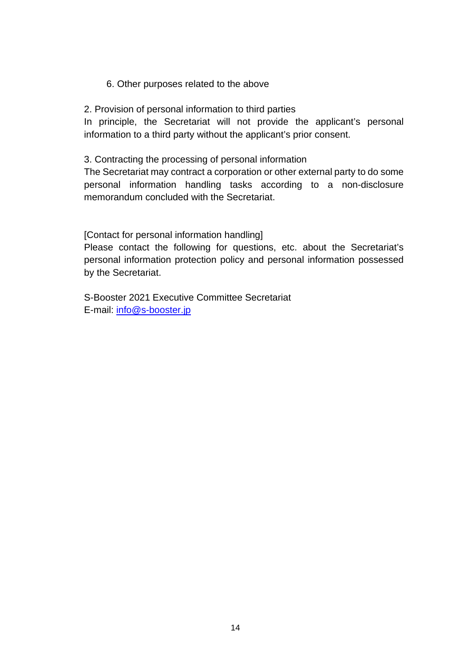#### 6. Other purposes related to the above

2. Provision of personal information to third parties

In principle, the Secretariat will not provide the applicant's personal information to a third party without the applicant's prior consent.

3. Contracting the processing of personal information

The Secretariat may contract a corporation or other external party to do some personal information handling tasks according to a non-disclosure memorandum concluded with the Secretariat.

[Contact for personal information handling]

Please contact the following for questions, etc. about the Secretariat's personal information protection policy and personal information possessed by the Secretariat.

S-Booster 2021 Executive Committee Secretariat E-mail: [info@s-booster.jp](mailto:info@s-booster.jp)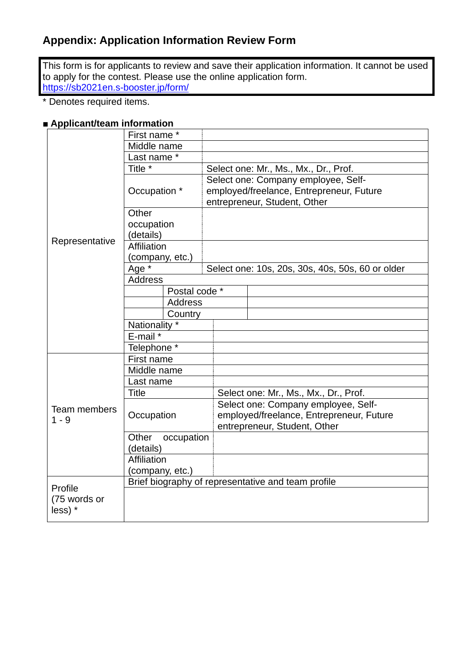This form is for applicants to review and save their application information. It cannot be used to apply for the contest. Please use the online application form. <https://sb2021en.s-booster.jp/form/>

\* Denotes required items.

#### **■ Applicant/team information**

|                | First name *                                       |                |                                       |                                                                          |  |
|----------------|----------------------------------------------------|----------------|---------------------------------------|--------------------------------------------------------------------------|--|
|                | Middle name                                        |                |                                       |                                                                          |  |
|                | Last name *                                        |                |                                       |                                                                          |  |
|                | Title <sup>*</sup>                                 |                | Select one: Mr., Ms., Mx., Dr., Prof. |                                                                          |  |
|                | Occupation *                                       |                |                                       | Select one: Company employee, Self-                                      |  |
|                |                                                    |                |                                       | employed/freelance, Entrepreneur, Future<br>entrepreneur, Student, Other |  |
|                | Other                                              |                |                                       |                                                                          |  |
|                | occupation                                         |                |                                       |                                                                          |  |
|                | (details)                                          |                |                                       |                                                                          |  |
| Representative | Affiliation                                        |                |                                       |                                                                          |  |
|                | (company, etc.)                                    |                |                                       |                                                                          |  |
|                | Age *                                              |                |                                       | Select one: 10s, 20s, 30s, 40s, 50s, 60 or older                         |  |
|                | Address                                            |                |                                       |                                                                          |  |
|                |                                                    | Postal code *  |                                       |                                                                          |  |
|                |                                                    | <b>Address</b> |                                       |                                                                          |  |
|                | Country                                            |                |                                       |                                                                          |  |
|                | Nationality *                                      |                |                                       |                                                                          |  |
|                | E-mail *                                           |                |                                       |                                                                          |  |
|                | Telephone <sup>*</sup>                             |                |                                       |                                                                          |  |
|                | First name                                         |                |                                       |                                                                          |  |
|                | Middle name                                        |                |                                       |                                                                          |  |
|                | Last name                                          |                |                                       |                                                                          |  |
|                | Title                                              |                |                                       | Select one: Mr., Ms., Mx., Dr., Prof.                                    |  |
| Team members   |                                                    |                |                                       | Select one: Company employee, Self-                                      |  |
| $1 - 9$        | Occupation                                         |                |                                       | employed/freelance, Entrepreneur, Future                                 |  |
|                |                                                    |                |                                       | entrepreneur, Student, Other                                             |  |
|                | Other<br>occupation                                |                |                                       |                                                                          |  |
|                | (details)                                          |                |                                       |                                                                          |  |
|                | <b>Affiliation</b>                                 |                |                                       |                                                                          |  |
|                | (company, etc.)                                    |                |                                       |                                                                          |  |
| Profile        | Brief biography of representative and team profile |                |                                       |                                                                          |  |
| (75 words or   |                                                    |                |                                       |                                                                          |  |
| less) *        |                                                    |                |                                       |                                                                          |  |
|                |                                                    |                |                                       |                                                                          |  |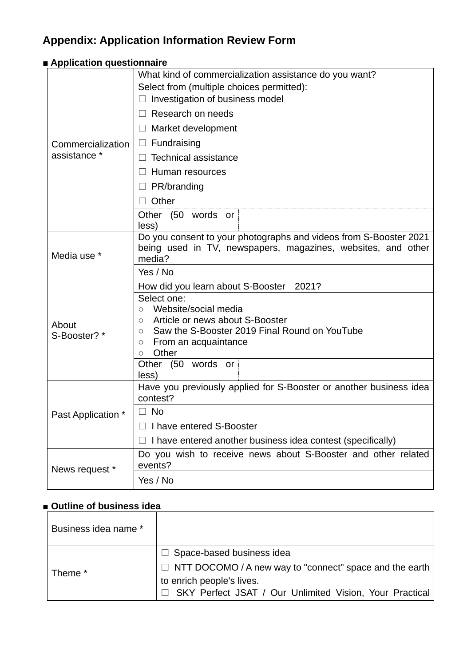| $\blacksquare$ Application questionnaire |                                                                               |  |  |  |  |
|------------------------------------------|-------------------------------------------------------------------------------|--|--|--|--|
|                                          | What kind of commercialization assistance do you want?                        |  |  |  |  |
|                                          | Select from (multiple choices permitted):                                     |  |  |  |  |
|                                          | Investigation of business model                                               |  |  |  |  |
|                                          | Research on needs                                                             |  |  |  |  |
|                                          | $\Box$ Market development                                                     |  |  |  |  |
| Commercialization                        | $\Box$ Fundraising                                                            |  |  |  |  |
| assistance *                             | <b>Technical assistance</b><br>$\Box$                                         |  |  |  |  |
|                                          | Human resources<br>$\Box$                                                     |  |  |  |  |
|                                          | $\Box$ PR/branding                                                            |  |  |  |  |
|                                          | Other                                                                         |  |  |  |  |
|                                          | Other (50 words or<br>less)                                                   |  |  |  |  |
|                                          | Do you consent to your photographs and videos from S-Booster 2021             |  |  |  |  |
|                                          | being used in TV, newspapers, magazines, websites, and other                  |  |  |  |  |
| Media use *                              | media?                                                                        |  |  |  |  |
|                                          | Yes / No                                                                      |  |  |  |  |
|                                          | 2021?<br>How did you learn about S-Booster                                    |  |  |  |  |
|                                          | Select one:                                                                   |  |  |  |  |
|                                          | Website/social media<br>$\circ$<br>Article or news about S-Booster<br>$\circ$ |  |  |  |  |
| About<br>S-Booster? *                    | Saw the S-Booster 2019 Final Round on YouTube<br>$\circ$                      |  |  |  |  |
|                                          | From an acquaintance<br>$\circ$                                               |  |  |  |  |
|                                          | Other<br>$\circ$                                                              |  |  |  |  |
|                                          | Other (50 words or<br>less)                                                   |  |  |  |  |
|                                          | Have you previously applied for S-Booster or another business idea            |  |  |  |  |
|                                          | contest?                                                                      |  |  |  |  |
| Past Application *                       | No                                                                            |  |  |  |  |
|                                          | I have entered S-Booster                                                      |  |  |  |  |
|                                          | I have entered another business idea contest (specifically)                   |  |  |  |  |
| News request *                           | Do you wish to receive news about S-Booster and other related<br>events?      |  |  |  |  |
|                                          | Yes / No                                                                      |  |  |  |  |
|                                          |                                                                               |  |  |  |  |

# **■ Outline of business idea**

| Business idea name * |                                                                                                                                                                                                      |
|----------------------|------------------------------------------------------------------------------------------------------------------------------------------------------------------------------------------------------|
| Theme *              | $\Box$ Space-based business idea<br>$\Box$ NTT DOCOMO / A new way to "connect" space and the earth $\vert$<br>to enrich people's lives.<br>□ SKY Perfect JSAT / Our Unlimited Vision, Your Practical |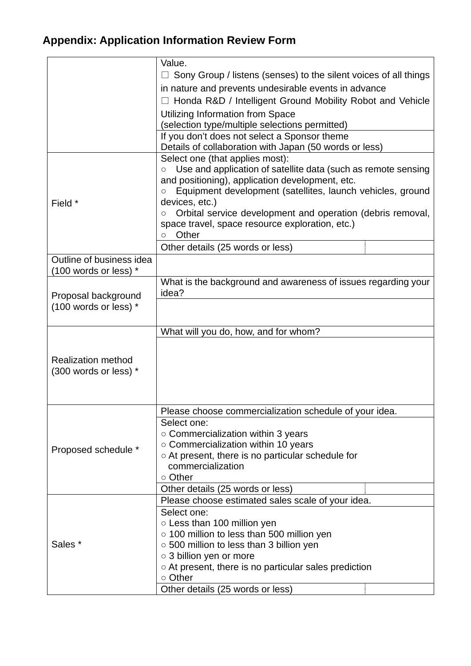|                           | Value.                                                                                                        |  |  |  |  |
|---------------------------|---------------------------------------------------------------------------------------------------------------|--|--|--|--|
|                           | Sony Group / listens (senses) to the silent voices of all things                                              |  |  |  |  |
|                           | in nature and prevents undesirable events in advance                                                          |  |  |  |  |
|                           | Honda R&D / Intelligent Ground Mobility Robot and Vehicle                                                     |  |  |  |  |
|                           | Utilizing Information from Space                                                                              |  |  |  |  |
|                           | (selection type/multiple selections permitted)                                                                |  |  |  |  |
|                           | If you don't does not select a Sponsor theme                                                                  |  |  |  |  |
|                           | Details of collaboration with Japan (50 words or less)                                                        |  |  |  |  |
|                           | Select one (that applies most):                                                                               |  |  |  |  |
|                           | Use and application of satellite data (such as remote sensing<br>$\circ$                                      |  |  |  |  |
|                           | and positioning), application development, etc.                                                               |  |  |  |  |
|                           | Equipment development (satellites, launch vehicles, ground<br>$\circ$                                         |  |  |  |  |
| Field *                   | devices, etc.)                                                                                                |  |  |  |  |
|                           | Orbital service development and operation (debris removal,<br>space travel, space resource exploration, etc.) |  |  |  |  |
|                           | Other<br>$\circ$                                                                                              |  |  |  |  |
|                           | Other details (25 words or less)                                                                              |  |  |  |  |
| Outline of business idea  |                                                                                                               |  |  |  |  |
| (100 words or less) *     |                                                                                                               |  |  |  |  |
|                           | What is the background and awareness of issues regarding your                                                 |  |  |  |  |
| Proposal background       | idea?                                                                                                         |  |  |  |  |
| (100 words or less) *     |                                                                                                               |  |  |  |  |
|                           |                                                                                                               |  |  |  |  |
|                           | What will you do, how, and for whom?                                                                          |  |  |  |  |
|                           |                                                                                                               |  |  |  |  |
| <b>Realization method</b> |                                                                                                               |  |  |  |  |
| (300 words or less) *     |                                                                                                               |  |  |  |  |
|                           |                                                                                                               |  |  |  |  |
|                           |                                                                                                               |  |  |  |  |
|                           | Please choose commercialization schedule of your idea.                                                        |  |  |  |  |
|                           | Select one:                                                                                                   |  |  |  |  |
|                           | $\circ$ Commercialization within 3 years                                                                      |  |  |  |  |
|                           | $\circ$ Commercialization within 10 years                                                                     |  |  |  |  |
| Proposed schedule *       | ○ At present, there is no particular schedule for                                                             |  |  |  |  |
|                           | commercialization                                                                                             |  |  |  |  |
|                           | ○ Other                                                                                                       |  |  |  |  |
|                           | Other details (25 words or less)                                                                              |  |  |  |  |
|                           | Please choose estimated sales scale of your idea.                                                             |  |  |  |  |
| Sales *                   | Select one:                                                                                                   |  |  |  |  |
|                           | ○ Less than 100 million yen                                                                                   |  |  |  |  |
|                           | ○ 100 million to less than 500 million yen                                                                    |  |  |  |  |
|                           | ○ 500 million to less than 3 billion yen<br>○ 3 billion yen or more                                           |  |  |  |  |
|                           | $\circ$ At present, there is no particular sales prediction                                                   |  |  |  |  |
|                           | ○ Other                                                                                                       |  |  |  |  |
|                           | Other details (25 words or less)                                                                              |  |  |  |  |